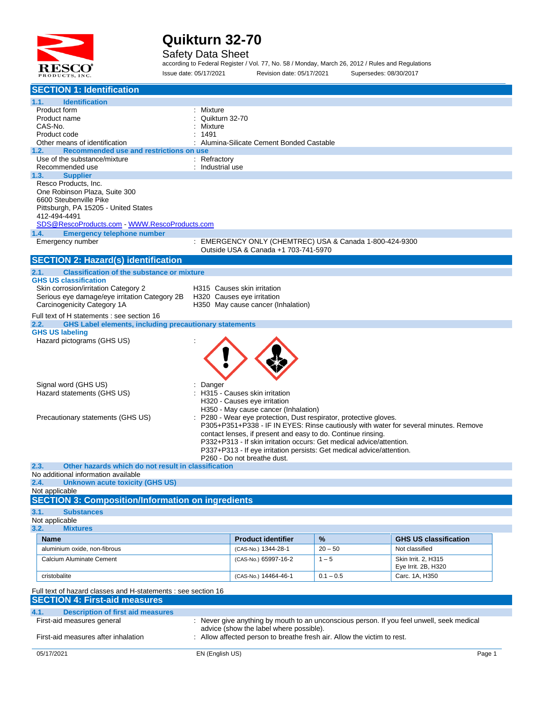

#### Safety Data Sheet

according to Federal Register / Vol. 77, No. 58 / Monday, March 26, 2012 / Rules and Regulations Issue date: 05/17/2021 Revision date: 05/17/2021 Supersedes: 08/30/2017

| <b>SECTION 1: Identification</b>                                                      |                           |                                                                       |             |                                                                                           |
|---------------------------------------------------------------------------------------|---------------------------|-----------------------------------------------------------------------|-------------|-------------------------------------------------------------------------------------------|
| 1.1.<br><b>Identification</b>                                                         |                           |                                                                       |             |                                                                                           |
| Product form                                                                          | : Mixture                 |                                                                       |             |                                                                                           |
| Product name<br>CAS-No.                                                               | Quikturn 32-70<br>Mixture |                                                                       |             |                                                                                           |
| Product code                                                                          | 1491                      |                                                                       |             |                                                                                           |
| Other means of identification                                                         |                           | Alumina-Silicate Cement Bonded Castable                               |             |                                                                                           |
| Recommended use and restrictions on use<br>1.2.                                       |                           |                                                                       |             |                                                                                           |
| Use of the substance/mixture                                                          | : Refractory              |                                                                       |             |                                                                                           |
| Recommended use<br>1.3.<br><b>Supplier</b>                                            | : Industrial use          |                                                                       |             |                                                                                           |
| Resco Products, Inc.                                                                  |                           |                                                                       |             |                                                                                           |
| One Robinson Plaza, Suite 300                                                         |                           |                                                                       |             |                                                                                           |
| 6600 Steubenville Pike                                                                |                           |                                                                       |             |                                                                                           |
| Pittsburgh, PA 15205 - United States                                                  |                           |                                                                       |             |                                                                                           |
| 412-494-4491<br>SDS@RescoProducts.com - WWW.RescoProducts.com                         |                           |                                                                       |             |                                                                                           |
| <b>Emergency telephone number</b><br>1.4.                                             |                           |                                                                       |             |                                                                                           |
| Emergency number                                                                      |                           | : EMERGENCY ONLY (CHEMTREC) USA & Canada 1-800-424-9300               |             |                                                                                           |
|                                                                                       |                           | Outside USA & Canada +1 703-741-5970                                  |             |                                                                                           |
| <b>SECTION 2: Hazard(s) identification</b>                                            |                           |                                                                       |             |                                                                                           |
| 2.1.<br><b>Classification of the substance or mixture</b>                             |                           |                                                                       |             |                                                                                           |
| <b>GHS US classification</b>                                                          |                           |                                                                       |             |                                                                                           |
| Skin corrosion/irritation Category 2<br>Serious eye damage/eye irritation Category 2B |                           | H315 Causes skin irritation<br>H320 Causes eye irritation             |             |                                                                                           |
| Carcinogenicity Category 1A                                                           |                           | H350 May cause cancer (Inhalation)                                    |             |                                                                                           |
| Full text of H statements : see section 16                                            |                           |                                                                       |             |                                                                                           |
| <b>GHS Label elements, including precautionary statements</b><br>2.2.                 |                           |                                                                       |             |                                                                                           |
| <b>GHS US labeling</b>                                                                |                           |                                                                       |             |                                                                                           |
| Hazard pictograms (GHS US)                                                            |                           |                                                                       |             |                                                                                           |
|                                                                                       |                           |                                                                       |             |                                                                                           |
|                                                                                       |                           |                                                                       |             |                                                                                           |
|                                                                                       |                           |                                                                       |             |                                                                                           |
| Signal word (GHS US)                                                                  | Danger                    |                                                                       |             |                                                                                           |
| Hazard statements (GHS US)                                                            |                           | H315 - Causes skin irritation                                         |             |                                                                                           |
|                                                                                       |                           | H320 - Causes eye irritation                                          |             |                                                                                           |
|                                                                                       |                           | H350 - May cause cancer (Inhalation)                                  |             |                                                                                           |
| Precautionary statements (GHS US)                                                     |                           | P280 - Wear eye protection, Dust respirator, protective gloves.       |             | P305+P351+P338 - IF IN EYES: Rinse cautiously with water for several minutes. Remove      |
|                                                                                       |                           | contact lenses, if present and easy to do. Continue rinsing.          |             |                                                                                           |
|                                                                                       |                           | P332+P313 - If skin irritation occurs: Get medical advice/attention.  |             |                                                                                           |
|                                                                                       |                           | P337+P313 - If eye irritation persists: Get medical advice/attention. |             |                                                                                           |
| 2.3.<br>Other hazards which do not result in classification                           |                           | P260 - Do not breathe dust.                                           |             |                                                                                           |
| No additional information available                                                   |                           |                                                                       |             |                                                                                           |
| <b>Unknown acute toxicity (GHS US)</b><br>2.4.                                        |                           |                                                                       |             |                                                                                           |
| Not applicable                                                                        |                           |                                                                       |             |                                                                                           |
| <b>SECTION 3: Composition/Information on ingredients</b>                              |                           |                                                                       |             |                                                                                           |
| 3.1.<br><b>Substances</b>                                                             |                           |                                                                       |             |                                                                                           |
| Not applicable<br>3.2.<br><b>Mixtures</b>                                             |                           |                                                                       |             |                                                                                           |
| <b>Name</b>                                                                           |                           | <b>Product identifier</b>                                             | $\%$        | <b>GHS US classification</b>                                                              |
| aluminium oxide, non-fibrous                                                          |                           | (CAS-No.) 1344-28-1                                                   | $20 - 50$   | Not classified                                                                            |
| Calcium Aluminate Cement                                                              |                           | (CAS-No.) 65997-16-2                                                  | $1 - 5$     | Skin Irrit. 2, H315                                                                       |
|                                                                                       |                           |                                                                       |             | Eye Irrit. 2B, H320                                                                       |
| cristobalite                                                                          |                           | (CAS-No.) 14464-46-1                                                  | $0.1 - 0.5$ | Carc. 1A, H350                                                                            |
| Full text of hazard classes and H-statements : see section 16                         |                           |                                                                       |             |                                                                                           |
| <b>SECTION 4: First-aid measures</b>                                                  |                           |                                                                       |             |                                                                                           |
| 4.1.<br><b>Description of first aid measures</b>                                      |                           |                                                                       |             |                                                                                           |
| First-aid measures general                                                            |                           |                                                                       |             | : Never give anything by mouth to an unconscious person. If you feel unwell, seek medical |
|                                                                                       |                           | advice (show the label where possible).                               |             |                                                                                           |
| First-aid measures after inhalation                                                   |                           | Allow affected person to breathe fresh air. Allow the victim to rest. |             |                                                                                           |
| 05/17/2021                                                                            | EN (English US)           |                                                                       |             |                                                                                           |
|                                                                                       |                           |                                                                       |             | Page 1                                                                                    |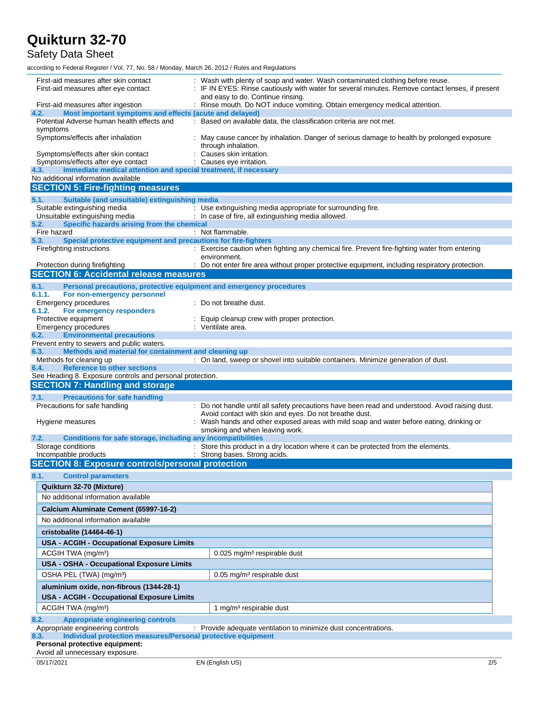### Safety Data Sheet

according to Federal Register / Vol. 77, No. 58 / Monday, March 26, 2012 / Rules and Regulations

| First-aid measures after skin contact<br>First-aid measures after eye contact                          | : Wash with plenty of soap and water. Wash contaminated clothing before reuse.<br>IF IN EYES: Rinse cautiously with water for several minutes. Remove contact lenses, if present<br>and easy to do. Continue rinsing. |
|--------------------------------------------------------------------------------------------------------|-----------------------------------------------------------------------------------------------------------------------------------------------------------------------------------------------------------------------|
| First-aid measures after ingestion<br>Most important symptoms and effects (acute and delayed)<br>4.2.  | : Rinse mouth. Do NOT induce vomiting. Obtain emergency medical attention.                                                                                                                                            |
| Potential Adverse human health effects and                                                             | : Based on available data, the classification criteria are not met.                                                                                                                                                   |
| symptoms                                                                                               |                                                                                                                                                                                                                       |
| Symptoms/effects after inhalation                                                                      | May cause cancer by inhalation. Danger of serious damage to health by prolonged exposure<br>through inhalation.                                                                                                       |
| Symptoms/effects after skin contact                                                                    | Causes skin irritation.                                                                                                                                                                                               |
| Symptoms/effects after eye contact<br>Immediate medical attention and special treatment, if necessary  | : Causes eye irritation.                                                                                                                                                                                              |
| 4.3.<br>No additional information available                                                            |                                                                                                                                                                                                                       |
| <b>SECTION 5: Fire-fighting measures</b>                                                               |                                                                                                                                                                                                                       |
|                                                                                                        |                                                                                                                                                                                                                       |
| Suitable (and unsuitable) extinguishing media<br>5.1.<br>Suitable extinguishing media                  | : Use extinguishing media appropriate for surrounding fire.                                                                                                                                                           |
| Unsuitable extinguishing media                                                                         | : In case of fire, all extinguishing media allowed.                                                                                                                                                                   |
| Specific hazards arising from the chemical<br>5.2.                                                     |                                                                                                                                                                                                                       |
| Fire hazard                                                                                            | : Not flammable.                                                                                                                                                                                                      |
| Special protective equipment and precautions for fire-fighters<br>5.3.                                 |                                                                                                                                                                                                                       |
| Firefighting instructions                                                                              | : Exercise caution when fighting any chemical fire. Prevent fire-fighting water from entering                                                                                                                         |
|                                                                                                        | environment.                                                                                                                                                                                                          |
| Protection during firefighting                                                                         | : Do not enter fire area without proper protective equipment, including respiratory protection.                                                                                                                       |
| <b>SECTION 6: Accidental release measures</b>                                                          |                                                                                                                                                                                                                       |
| 6.1.<br>Personal precautions, protective equipment and emergency procedures                            |                                                                                                                                                                                                                       |
| 6.1.1.<br>For non-emergency personnel                                                                  |                                                                                                                                                                                                                       |
| Emergency procedures                                                                                   | : Do not breathe dust.                                                                                                                                                                                                |
| 6.1.2.<br>For emergency responders<br>Protective equipment                                             | Equip cleanup crew with proper protection.                                                                                                                                                                            |
| <b>Emergency procedures</b>                                                                            | : Ventilate area.                                                                                                                                                                                                     |
| <b>Environmental precautions</b><br>6.2.                                                               |                                                                                                                                                                                                                       |
| Prevent entry to sewers and public waters.                                                             |                                                                                                                                                                                                                       |
| Methods and material for containment and cleaning up<br>6.3.                                           |                                                                                                                                                                                                                       |
| Methods for cleaning up                                                                                | : On land, sweep or shovel into suitable containers. Minimize generation of dust.                                                                                                                                     |
|                                                                                                        |                                                                                                                                                                                                                       |
| <b>Reference to other sections</b><br>6.4.                                                             |                                                                                                                                                                                                                       |
| See Heading 8. Exposure controls and personal protection.                                              |                                                                                                                                                                                                                       |
| <b>SECTION 7: Handling and storage</b>                                                                 |                                                                                                                                                                                                                       |
| 7.1.<br><b>Precautions for safe handling</b>                                                           |                                                                                                                                                                                                                       |
| Precautions for safe handling                                                                          | : Do not handle until all safety precautions have been read and understood. Avoid raising dust.                                                                                                                       |
|                                                                                                        | Avoid contact with skin and eyes. Do not breathe dust.                                                                                                                                                                |
| Hygiene measures                                                                                       | : Wash hands and other exposed areas with mild soap and water before eating, drinking or<br>smoking and when leaving work.                                                                                            |
| Conditions for safe storage, including any incompatibilities<br>7.2.                                   |                                                                                                                                                                                                                       |
| Storage conditions                                                                                     | : Store this product in a dry location where it can be protected from the elements.                                                                                                                                   |
| Incompatible products                                                                                  | : Strong bases. Strong acids.                                                                                                                                                                                         |
| <b>SECTION 8: Exposure controls/personal protection</b>                                                |                                                                                                                                                                                                                       |
| 8.1.<br><b>Control parameters</b>                                                                      |                                                                                                                                                                                                                       |
| Quikturn 32-70 (Mixture)                                                                               |                                                                                                                                                                                                                       |
| No additional information available                                                                    |                                                                                                                                                                                                                       |
|                                                                                                        |                                                                                                                                                                                                                       |
| Calcium Aluminate Cement (65997-16-2)                                                                  |                                                                                                                                                                                                                       |
| No additional information available                                                                    |                                                                                                                                                                                                                       |
| cristobalite (14464-46-1)                                                                              |                                                                                                                                                                                                                       |
| <b>USA - ACGIH - Occupational Exposure Limits</b>                                                      |                                                                                                                                                                                                                       |
| ACGIH TWA (mg/m <sup>3</sup> )                                                                         | 0.025 mg/m <sup>3</sup> respirable dust                                                                                                                                                                               |
| USA - OSHA - Occupational Exposure Limits                                                              |                                                                                                                                                                                                                       |
|                                                                                                        |                                                                                                                                                                                                                       |
| OSHA PEL (TWA) (mg/m <sup>3</sup> )                                                                    | $0.05$ mg/m <sup>3</sup> respirable dust                                                                                                                                                                              |
| aluminium oxide, non-fibrous (1344-28-1)                                                               |                                                                                                                                                                                                                       |
| <b>USA - ACGIH - Occupational Exposure Limits</b>                                                      |                                                                                                                                                                                                                       |
| ACGIH TWA (mg/m <sup>3</sup> )                                                                         | 1 mg/m <sup>3</sup> respirable dust                                                                                                                                                                                   |
| 8.2.<br><b>Appropriate engineering controls</b>                                                        |                                                                                                                                                                                                                       |
| Appropriate engineering controls                                                                       | : Provide adequate ventilation to minimize dust concentrations.                                                                                                                                                       |
| Individual protection measures/Personal protective equipment<br>8.3.<br>Personal protective equipment: |                                                                                                                                                                                                                       |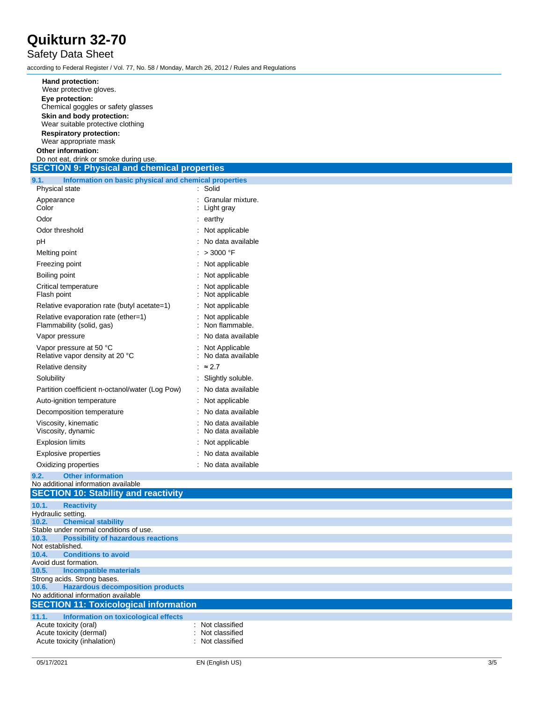### Safety Data Sheet

according to Federal Register / Vol. 77, No. 58 / Monday, March 26, 2012 / Rules and Regulations

| Hand protection:                                                                    |                                        |
|-------------------------------------------------------------------------------------|----------------------------------------|
| Wear protective gloves.<br>Eye protection:                                          |                                        |
| Chemical goggles or safety glasses                                                  |                                        |
| Skin and body protection:<br>Wear suitable protective clothing                      |                                        |
| <b>Respiratory protection:</b>                                                      |                                        |
| Wear appropriate mask                                                               |                                        |
| Other information:<br>Do not eat, drink or smoke during use.                        |                                        |
| <b>SECTION 9: Physical and chemical properties</b>                                  |                                        |
| Information on basic physical and chemical properties<br>9.1.                       |                                        |
| Physical state<br>Appearance                                                        | : Solid<br>Granular mixture.           |
| Color                                                                               | : Light gray                           |
| Odor                                                                                | $:$ earthy                             |
| Odor threshold                                                                      | Not applicable                         |
| pH                                                                                  | No data available                      |
| Melting point                                                                       | > 3000 °F                              |
| Freezing point                                                                      | : Not applicable                       |
| Boiling point                                                                       | Not applicable                         |
| Critical temperature<br>Flash point                                                 | Not applicable<br>Not applicable       |
| Relative evaporation rate (butyl acetate=1)                                         | Not applicable                         |
| Relative evaporation rate (ether=1)<br>Flammability (solid, gas)                    | Not applicable<br>Non flammable.       |
| Vapor pressure                                                                      | No data available                      |
| Vapor pressure at 50 °C<br>Relative vapor density at 20 °C                          | Not Applicable<br>No data available    |
| Relative density                                                                    | : $\approx 2.7$                        |
| Solubility                                                                          | Slightly soluble.                      |
| Partition coefficient n-octanol/water (Log Pow)                                     | : No data available                    |
| Auto-ignition temperature                                                           | Not applicable                         |
| Decomposition temperature                                                           | No data available                      |
| Viscosity, kinematic<br>Viscosity, dynamic                                          | No data available<br>No data available |
| <b>Explosion limits</b>                                                             | Not applicable                         |
| <b>Explosive properties</b>                                                         | No data available                      |
| Oxidizing properties                                                                | : No data available                    |
| <b>Other information</b><br>9.2.<br>No additional information available             |                                        |
| <b>SECTION 10: Stability and reactivity</b>                                         |                                        |
| 10.1.<br><b>Reactivity</b>                                                          |                                        |
| Hydraulic setting.<br><b>Chemical stability</b><br>10.2.                            |                                        |
| Stable under normal conditions of use.                                              |                                        |
| <b>Possibility of hazardous reactions</b><br>10.3.                                  |                                        |
| Not established.<br><b>Conditions to avoid</b><br>10.4.                             |                                        |
| Avoid dust formation.                                                               |                                        |
| 10.5.<br><b>Incompatible materials</b><br>Strong acids. Strong bases.               |                                        |
| <b>Hazardous decomposition products</b><br>10.6.                                    |                                        |
| No additional information available<br><b>SECTION 11: Toxicological information</b> |                                        |
| 11.1.<br>Information on toxicological effects                                       |                                        |
| Acute toxicity (oral)                                                               | Not classified                         |
| Acute toxicity (dermal)<br>Acute toxicity (inhalation)                              | Not classified<br>Not classified       |
|                                                                                     |                                        |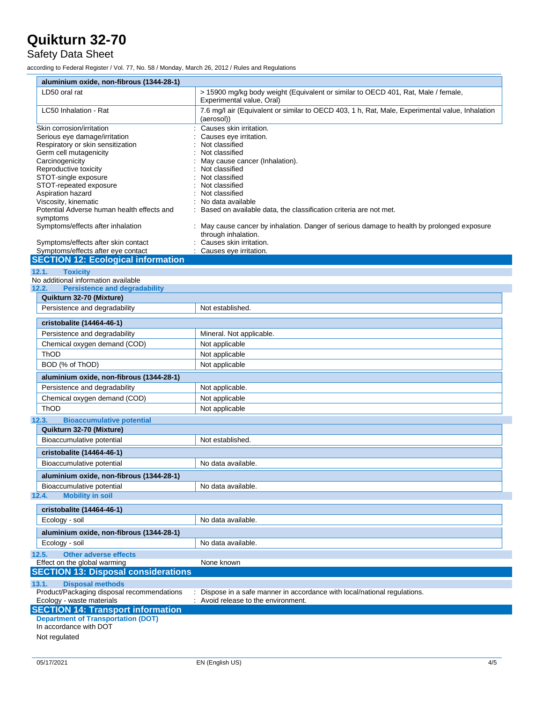### Safety Data Sheet

according to Federal Register / Vol. 77, No. 58 / Monday, March 26, 2012 / Rules and Regulations

| aluminium oxide, non-fibrous (1344-28-1)                                              |                                                                                                                   |
|---------------------------------------------------------------------------------------|-------------------------------------------------------------------------------------------------------------------|
| LD50 oral rat                                                                         | > 15900 mg/kg body weight (Equivalent or similar to OECD 401, Rat, Male / female,<br>Experimental value, Oral)    |
| LC50 Inhalation - Rat                                                                 | 7.6 mg/l air (Equivalent or similar to OECD 403, 1 h, Rat, Male, Experimental value, Inhalation<br>(aerosol))     |
| Skin corrosion/irritation                                                             | Causes skin irritation.                                                                                           |
| Serious eye damage/irritation                                                         | Causes eye irritation.                                                                                            |
| Respiratory or skin sensitization                                                     | Not classified                                                                                                    |
| Germ cell mutagenicity<br>Carcinogenicity                                             | Not classified<br>May cause cancer (Inhalation).                                                                  |
| Reproductive toxicity                                                                 | Not classified                                                                                                    |
| STOT-single exposure                                                                  | Not classified                                                                                                    |
| STOT-repeated exposure                                                                | Not classified                                                                                                    |
| Aspiration hazard                                                                     | Not classified                                                                                                    |
| Viscosity, kinematic                                                                  | No data available                                                                                                 |
| Potential Adverse human health effects and<br>symptoms                                | Based on available data, the classification criteria are not met.                                                 |
| Symptoms/effects after inhalation                                                     | : May cause cancer by inhalation. Danger of serious damage to health by prolonged exposure<br>through inhalation. |
| Symptoms/effects after skin contact                                                   | Causes skin irritation.                                                                                           |
| Symptoms/effects after eye contact                                                    | Causes eye irritation.                                                                                            |
| <b>SECTION 12: Ecological information</b>                                             |                                                                                                                   |
| <b>Toxicity</b><br>12.1.                                                              |                                                                                                                   |
| No additional information available                                                   |                                                                                                                   |
| <b>Persistence and degradability</b><br>12.2.                                         |                                                                                                                   |
| Quikturn 32-70 (Mixture)                                                              |                                                                                                                   |
| Persistence and degradability                                                         | Not established.                                                                                                  |
| cristobalite (14464-46-1)                                                             |                                                                                                                   |
| Persistence and degradability                                                         | Mineral. Not applicable.                                                                                          |
| Chemical oxygen demand (COD)                                                          | Not applicable                                                                                                    |
| ThOD                                                                                  | Not applicable                                                                                                    |
| BOD (% of ThOD)                                                                       | Not applicable                                                                                                    |
| aluminium oxide, non-fibrous (1344-28-1)                                              |                                                                                                                   |
| Persistence and degradability                                                         | Not applicable.                                                                                                   |
| Chemical oxygen demand (COD)                                                          | Not applicable                                                                                                    |
| <b>ThOD</b>                                                                           | Not applicable                                                                                                    |
| <b>Bioaccumulative potential</b><br>12.3.                                             |                                                                                                                   |
| Quikturn 32-70 (Mixture)                                                              |                                                                                                                   |
| Bioaccumulative potential                                                             | Not established.                                                                                                  |
| cristobalite (14464-46-1)                                                             |                                                                                                                   |
| Bioaccumulative potential                                                             | No data available.                                                                                                |
| aluminium oxide, non-fibrous (1344-28-1)                                              |                                                                                                                   |
| Bioaccumulative potential<br><b>Mobility in soil</b><br>12.4.                         | No data available.                                                                                                |
| cristobalite (14464-46-1)                                                             |                                                                                                                   |
| Ecology - soil                                                                        | No data available.                                                                                                |
| aluminium oxide, non-fibrous (1344-28-1)                                              |                                                                                                                   |
| Ecology - soil                                                                        | No data available.                                                                                                |
| <b>Other adverse effects</b><br>12.5.                                                 |                                                                                                                   |
| Effect on the global warming                                                          | None known                                                                                                        |
| <b>SECTION 13: Disposal considerations</b>                                            |                                                                                                                   |
| <b>Disposal methods</b><br>13.1.                                                      |                                                                                                                   |
| Product/Packaging disposal recommendations                                            | Dispose in a safe manner in accordance with local/national regulations.                                           |
| Ecology - waste materials                                                             | Avoid release to the environment.                                                                                 |
| <b>SECTION 14: Transport information</b><br><b>Department of Transportation (DOT)</b> |                                                                                                                   |
| In accordance with DOT                                                                |                                                                                                                   |
| Not regulated                                                                         |                                                                                                                   |
|                                                                                       |                                                                                                                   |